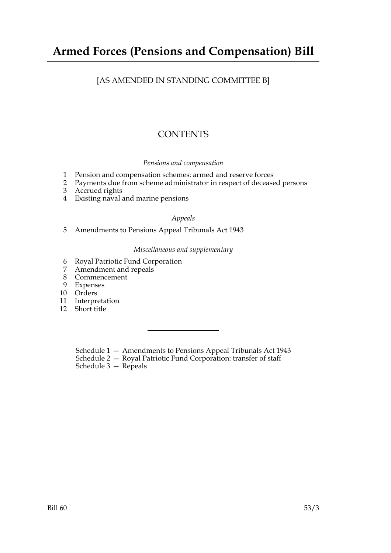## **Armed Forces (Pensions and Compensation) Bill**

## [AS AMENDED IN STANDING COMMITTEE B]

## **CONTENTS**

#### *Pensions and compensation*

- 1 Pension and compensation schemes: armed and reserve forces
- 2 Payments due from scheme administrator in respect of deceased persons
- 3 Accrued rights
- 4 Existing naval and marine pensions

#### *Appeals*

5 Amendments to Pensions Appeal Tribunals Act 1943

#### *Miscellaneous and supplementary*

- 6 Royal Patriotic Fund Corporation
- 7 Amendment and repeals
- 8 Commencement
- 9 Expenses
- 10 Orders
- 11 Interpretation
- 12 Short title

Schedule 1 — Amendments to Pensions Appeal Tribunals Act 1943

Schedule 2 — Royal Patriotic Fund Corporation: transfer of staff

Schedule 3 — Repeals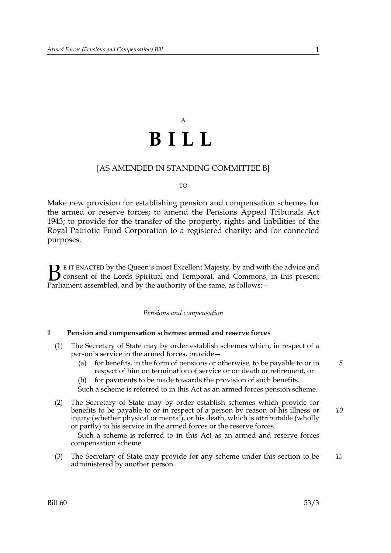# A **BILL**

#### [AS AMENDED IN STANDING COMMITTEE B]

#### TO

Make new provision for establishing pension and compensation schemes for the armed or reserve forces; to amend the Pensions Appeal Tribunals Act 1943; to provide for the transfer of the property, rights and liabilities of the Royal Patriotic Fund Corporation to a registered charity; and for connected purposes.

E IT ENACTED by the Queen's most Excellent Majesty, by and with the advice and consent of the Lords Spiritual and Temporal, and Commons, in this present **B** E IT ENACTED by the Queen's most Excellent Majesty, by and with consent of the Lords Spiritual and Temporal, and Commons, Parliament assembled, and by the authority of the same, as follows:  $-$ 

#### *Pensions and compensation*

#### **1 Pension and compensation schemes: armed and reserve forces**

- (1) The Secretary of State may by order establish schemes which, in respect of a person's service in the armed forces, provide—
	- (a) for benefits, in the form of pensions or otherwise, to be payable to or in respect of him on termination of service or on death or retirement, or
	- (b) for payments to be made towards the provision of such benefits.
	- Such a scheme is referred to in this Act as an armed forces pension scheme.
- (2) The Secretary of State may by order establish schemes which provide for benefits to be payable to or in respect of a person by reason of his illness or injury (whether physical or mental), or his death, which is attributable (wholly or partly) to his service in the armed forces or the reserve forces. *10*

Such a scheme is referred to in this Act as an armed and reserve forces compensation scheme.

(3) The Secretary of State may provide for any scheme under this section to be administered by another person. *15*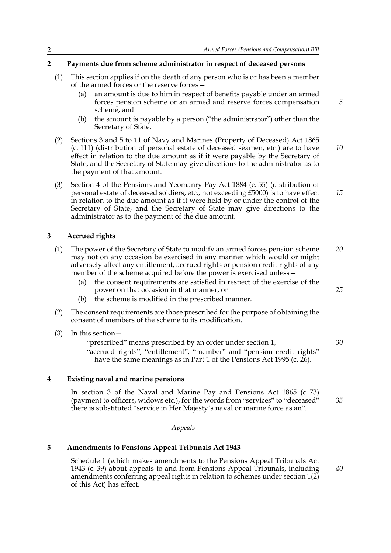*5*

*25*

*35*

#### **2 Payments due from scheme administrator in respect of deceased persons**

- (1) This section applies if on the death of any person who is or has been a member of the armed forces or the reserve forces—
	- (a) an amount is due to him in respect of benefits payable under an armed forces pension scheme or an armed and reserve forces compensation scheme, and
	- (b) the amount is payable by a person ("the administrator") other than the Secretary of State.
- (2) Sections 3 and 5 to 11 of Navy and Marines (Property of Deceased) Act 1865 (c. 111) (distribution of personal estate of deceased seamen, etc.) are to have effect in relation to the due amount as if it were payable by the Secretary of State, and the Secretary of State may give directions to the administrator as to the payment of that amount. *10*
- (3) Section 4 of the Pensions and Yeomanry Pay Act 1884 (c. 55) (distribution of personal estate of deceased soldiers, etc., not exceeding £5000) is to have effect in relation to the due amount as if it were held by or under the control of the Secretary of State, and the Secretary of State may give directions to the administrator as to the payment of the due amount. *15*

#### **3 Accrued rights**

- (1) The power of the Secretary of State to modify an armed forces pension scheme may not on any occasion be exercised in any manner which would or might adversely affect any entitlement, accrued rights or pension credit rights of any member of the scheme acquired before the power is exercised unless— *20*
	- (a) the consent requirements are satisfied in respect of the exercise of the power on that occasion in that manner, or
	- (b) the scheme is modified in the prescribed manner.
- (2) The consent requirements are those prescribed for the purpose of obtaining the consent of members of the scheme to its modification.
- (3) In this section—

"prescribed" means prescribed by an order under section 1, "accrued rights", "entitlement", "member" and "pension credit rights" have the same meanings as in Part 1 of the Pensions Act 1995 (c. 26). *30*

#### **4 Existing naval and marine pensions**

In section 3 of the Naval and Marine Pay and Pensions Act 1865 (c. 73) (payment to officers, widows etc.), for the words from "services" to "deceased" there is substituted "service in Her Majesty's naval or marine force as an".

#### *Appeals*

#### **5 Amendments to Pensions Appeal Tribunals Act 1943**

Schedule 1 (which makes amendments to the Pensions Appeal Tribunals Act 1943 (c. 39) about appeals to and from Pensions Appeal Tribunals, including amendments conferring appeal rights in relation to schemes under section 1(2) of this Act) has effect. *40*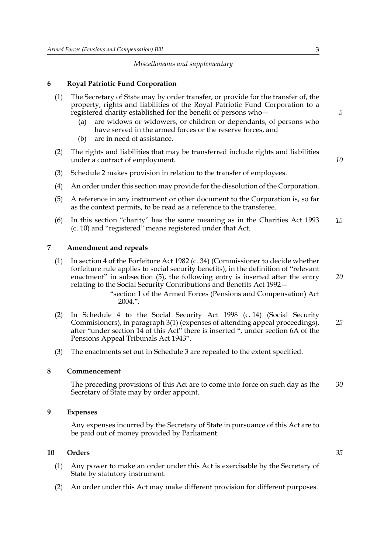#### *Miscellaneous and supplementary*

#### **6 Royal Patriotic Fund Corporation**

| (1) The Secretary of State may by order transfer, or provide for the transfer of, the |
|---------------------------------------------------------------------------------------|
| property, rights and liabilities of the Royal Patriotic Fund Corporation to a         |
| registered charity established for the benefit of persons who-                        |

- (a) are widows or widowers, or children or dependants, of persons who have served in the armed forces or the reserve forces, and
- (b) are in need of assistance.
- (2) The rights and liabilities that may be transferred include rights and liabilities under a contract of employment.
- (3) Schedule 2 makes provision in relation to the transfer of employees.
- (4) An order under this section may provide for the dissolution of the Corporation.
- (5) A reference in any instrument or other document to the Corporation is, so far as the context permits, to be read as a reference to the transferee.
- (6) In this section "charity" has the same meaning as in the Charities Act 1993 (c. 10) and "registered" means registered under that Act. *15*

#### **7 Amendment and repeals**

(1) In section 4 of the Forfeiture Act 1982 (c. 34) (Commissioner to decide whether forfeiture rule applies to social security benefits), in the definition of "relevant enactment" in subsection (5), the following entry is inserted after the entry relating to the Social Security Contributions and Benefits Act 1992—

> "section 1 of the Armed Forces (Pensions and Compensation) Act 2004,".

- (2) In Schedule 4 to the Social Security Act 1998 (c. 14) (Social Security Commisioners), in paragraph 3(1) (expenses of attending appeal proceedings), after "under section 14 of this Act" there is inserted ", under section 6A of the Pensions Appeal Tribunals Act 1943". *25*
- (3) The enactments set out in Schedule 3 are repealed to the extent specified.

#### **8 Commencement**

The preceding provisions of this Act are to come into force on such day as the Secretary of State may by order appoint. *30*

#### **9 Expenses**

Any expenses incurred by the Secretary of State in pursuance of this Act are to be paid out of money provided by Parliament.

#### **10 Orders**

- (1) Any power to make an order under this Act is exercisable by the Secretary of State by statutory instrument.
- (2) An order under this Act may make different provision for different purposes.

*5*

*10*

*20*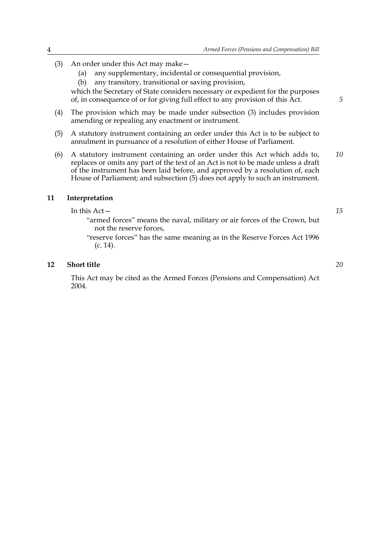- (3) An order under this Act may make—
	- (a) any supplementary, incidental or consequential provision,
	- (b) any transitory, transitional or saving provision,

which the Secretary of State considers necessary or expedient for the purposes of, in consequence of or for giving full effect to any provision of this Act.

- (4) The provision which may be made under subsection (3) includes provision amending or repealing any enactment or instrument.
- (5) A statutory instrument containing an order under this Act is to be subject to annulment in pursuance of a resolution of either House of Parliament.
- (6) A statutory instrument containing an order under this Act which adds to, replaces or omits any part of the text of an Act is not to be made unless a draft of the instrument has been laid before, and approved by a resolution of, each House of Parliament; and subsection (5) does not apply to such an instrument. *10*

#### **11 Interpretation**

In this Act—

*15*

*20*

*5*

- "armed forces" means the naval, military or air forces of the Crown, but not the reserve forces,
- "reserve forces" has the same meaning as in the Reserve Forces Act 1996 (c. 14).

#### **12 Short title**

This Act may be cited as the Armed Forces (Pensions and Compensation) Act 2004.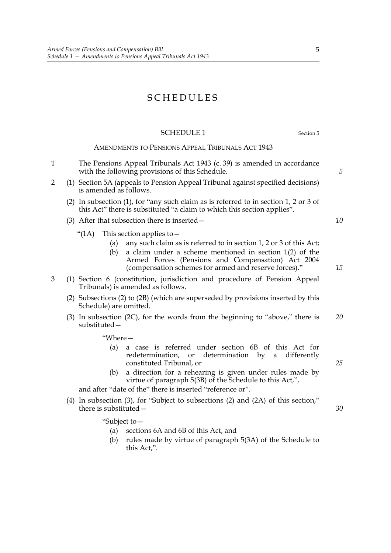## SCHEDULES

#### SCHEDULE 1 Section 5

#### AMENDMENTS TO PENSIONS APPEAL TRIBUNALS ACT 1943

- 1 The Pensions Appeal Tribunals Act 1943 (c. 39) is amended in accordance with the following provisions of this Schedule.
- 2 (1) Section 5A (appeals to Pension Appeal Tribunal against specified decisions) is amended as follows.
	- (2) In subsection (1), for "any such claim as is referred to in section 1, 2 or 3 of this Act" there is substituted "a claim to which this section applies".
	- (3) After that subsection there is inserted—
		- "(1A) This section applies to  $-$ 
			- (a) any such claim as is referred to in section 1, 2 or 3 of this Act;
			- (b) a claim under a scheme mentioned in section 1(2) of the Armed Forces (Pensions and Compensation) Act 2004 (compensation schemes for armed and reserve forces)."
- 3 (1) Section 6 (constitution, jurisdiction and procedure of Pension Appeal Tribunals) is amended as follows.
	- (2) Subsections (2) to (2B) (which are superseded by provisions inserted by this Schedule) are omitted.
	- (3) In subsection (2C), for the words from the beginning to "above," there is substituted— *20*

"Where—

- (a) a case is referred under section 6B of this Act for redetermination, or determination by a differently constituted Tribunal, or
- (b) a direction for a rehearing is given under rules made by virtue of paragraph 5(3B) of the Schedule to this Act,",

and after "date of the" there is inserted "reference or".

(4) In subsection (3), for "Subject to subsections (2) and (2A) of this section," there is substituted—

"Subject to—

- (a) sections 6A and 6B of this Act, and
- (b) rules made by virtue of paragraph 5(3A) of the Schedule to this Act,".

*25*

*5*

*10*

*15*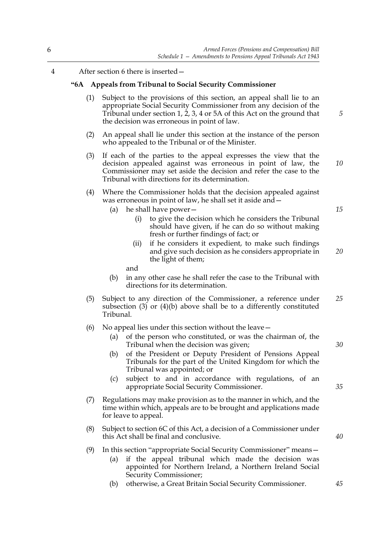4 After section 6 there is inserted—

#### **"6A Appeals from Tribunal to Social Security Commissioner**

- (1) Subject to the provisions of this section, an appeal shall lie to an appropriate Social Security Commissioner from any decision of the Tribunal under section 1, 2, 3, 4 or 5A of this Act on the ground that the decision was erroneous in point of law.
- (2) An appeal shall lie under this section at the instance of the person who appealed to the Tribunal or of the Minister.
- (3) If each of the parties to the appeal expresses the view that the decision appealed against was erroneous in point of law, the Commissioner may set aside the decision and refer the case to the Tribunal with directions for its determination.
- (4) Where the Commissioner holds that the decision appealed against was erroneous in point of law, he shall set it aside and—
	- (a) he shall have power—
		- (i) to give the decision which he considers the Tribunal should have given, if he can do so without making fresh or further findings of fact; or
		- (ii) if he considers it expedient, to make such findings and give such decision as he considers appropriate in the light of them; *20*

and

- (b) in any other case he shall refer the case to the Tribunal with directions for its determination.
- (5) Subject to any direction of the Commissioner, a reference under subsection (3) or (4)(b) above shall be to a differently constituted Tribunal. *25*
- (6) No appeal lies under this section without the leave—
	- (a) of the person who constituted, or was the chairman of, the Tribunal when the decision was given;
	- (b) of the President or Deputy President of Pensions Appeal Tribunals for the part of the United Kingdom for which the Tribunal was appointed; or
	- (c) subject to and in accordance with regulations, of an appropriate Social Security Commissioner.
- (7) Regulations may make provision as to the manner in which, and the time within which, appeals are to be brought and applications made for leave to appeal.
- (8) Subject to section 6C of this Act, a decision of a Commissioner under this Act shall be final and conclusive.
- (9) In this section "appropriate Social Security Commissioner" means—
	- (a) if the appeal tribunal which made the decision was appointed for Northern Ireland, a Northern Ireland Social Security Commissioner;
	- (b) otherwise, a Great Britain Social Security Commissioner.

*15*

*10*

*5*

*30*

*35*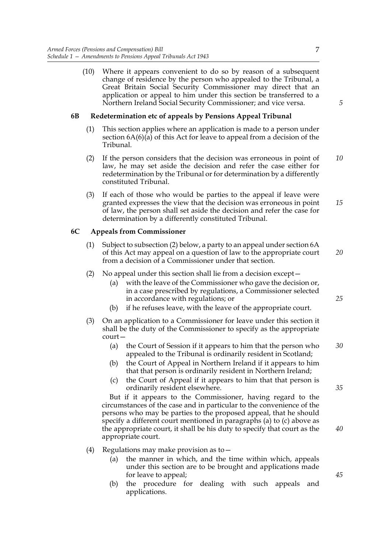(10) Where it appears convenient to do so by reason of a subsequent change of residence by the person who appealed to the Tribunal, a Great Britain Social Security Commissioner may direct that an application or appeal to him under this section be transferred to a Northern Ireland Social Security Commissioner; and vice versa.

#### **6B Redetermination etc of appeals by Pensions Appeal Tribunal**

- (1) This section applies where an application is made to a person under section 6A(6)(a) of this Act for leave to appeal from a decision of the Tribunal.
- (2) If the person considers that the decision was erroneous in point of law, he may set aside the decision and refer the case either for redetermination by the Tribunal or for determination by a differently constituted Tribunal. *10*
- (3) If each of those who would be parties to the appeal if leave were granted expresses the view that the decision was erroneous in point of law, the person shall set aside the decision and refer the case for determination by a differently constituted Tribunal. *15*

#### **6C Appeals from Commissioner**

- (1) Subject to subsection (2) below, a party to an appeal under section 6A of this Act may appeal on a question of law to the appropriate court from a decision of a Commissioner under that section.
- (2) No appeal under this section shall lie from a decision except—
	- (a) with the leave of the Commissioner who gave the decision or, in a case prescribed by regulations, a Commissioner selected in accordance with regulations; or
	- (b) if he refuses leave, with the leave of the appropriate court.
- (3) On an application to a Commissioner for leave under this section it shall be the duty of the Commissioner to specify as the appropriate court—
	- (a) the Court of Session if it appears to him that the person who appealed to the Tribunal is ordinarily resident in Scotland;
	- (b) the Court of Appeal in Northern Ireland if it appears to him that that person is ordinarily resident in Northern Ireland;
	- (c) the Court of Appeal if it appears to him that that person is ordinarily resident elsewhere.

But if it appears to the Commissioner, having regard to the circumstances of the case and in particular to the convenience of the persons who may be parties to the proposed appeal, that he should specify a different court mentioned in paragraphs (a) to (c) above as the appropriate court, it shall be his duty to specify that court as the appropriate court.

- (4) Regulations may make provision as to—
	- (a) the manner in which, and the time within which, appeals under this section are to be brought and applications made for leave to appeal;
	- (b) the procedure for dealing with such appeals and applications.

*45*

*20*

7

*5*

*25*

*30*

*35*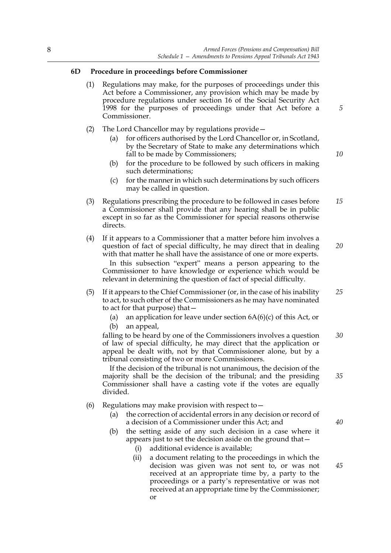#### **6D Procedure in proceedings before Commissioner**

- (1) Regulations may make, for the purposes of proceedings under this Act before a Commissioner, any provision which may be made by procedure regulations under section 16 of the Social Security Act 1998 for the purposes of proceedings under that Act before a Commissioner.
- (2) The Lord Chancellor may by regulations provide—
	- (a) for officers authorised by the Lord Chancellor or, in Scotland, by the Secretary of State to make any determinations which fall to be made by Commissioners;
	- (b) for the procedure to be followed by such officers in making such determinations;
	- (c) for the manner in which such determinations by such officers may be called in question.
- (3) Regulations prescribing the procedure to be followed in cases before a Commissioner shall provide that any hearing shall be in public except in so far as the Commissioner for special reasons otherwise directs. *15*
- (4) If it appears to a Commissioner that a matter before him involves a question of fact of special difficulty, he may direct that in dealing with that matter he shall have the assistance of one or more experts. In this subsection "expert" means a person appearing to the Commissioner to have knowledge or experience which would be relevant in determining the question of fact of special difficulty.
- (5) If it appears to the Chief Commissioner (or, in the case of his inability to act, to such other of the Commissioners as he may have nominated to act for that purpose) that— *25*
	- (a) an application for leave under section  $6A(6)(c)$  of this Act, or (b) an appeal,
	-

falling to be heard by one of the Commissioners involves a question of law of special difficulty, he may direct that the application or appeal be dealt with, not by that Commissioner alone, but by a tribunal consisting of two or more Commissioners. *30*

If the decision of the tribunal is not unanimous, the decision of the majority shall be the decision of the tribunal; and the presiding Commissioner shall have a casting vote if the votes are equally divided.

- (6) Regulations may make provision with respect to—
	- (a) the correction of accidental errors in any decision or record of a decision of a Commissioner under this Act; and
	- (b) the setting aside of any such decision in a case where it appears just to set the decision aside on the ground that—
		- (i) additional evidence is available;
		- (ii) a document relating to the proceedings in which the decision was given was not sent to, or was not received at an appropriate time by, a party to the proceedings or a party's representative or was not received at an appropriate time by the Commissioner; or

*5*

*10*

*20*

*35*

*40*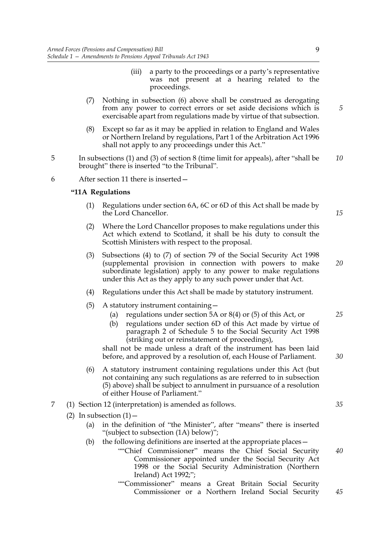- (iii) a party to the proceedings or a party's representative was not present at a hearing related to the proceedings.
- (7) Nothing in subsection (6) above shall be construed as derogating from any power to correct errors or set aside decisions which is exercisable apart from regulations made by virtue of that subsection.
- (8) Except so far as it may be applied in relation to England and Wales or Northern Ireland by regulations, Part 1 of the Arbitration Act 1996 shall not apply to any proceedings under this Act."
- 5 In subsections (1) and (3) of section 8 (time limit for appeals), after "shall be brought" there is inserted "to the Tribunal". *10*

6 After section 11 there is inserted—

#### **"11A Regulations**

- (1) Regulations under section 6A, 6C or 6D of this Act shall be made by the Lord Chancellor.
- (2) Where the Lord Chancellor proposes to make regulations under this Act which extend to Scotland, it shall be his duty to consult the Scottish Ministers with respect to the proposal.
- (3) Subsections (4) to (7) of section 79 of the Social Security Act 1998 (supplemental provision in connection with powers to make subordinate legislation) apply to any power to make regulations under this Act as they apply to any such power under that Act.
- (4) Regulations under this Act shall be made by statutory instrument.
- (5) A statutory instrument containing—
	- (a) regulations under section 5A or 8(4) or (5) of this Act, or
	- (b) regulations under section 6D of this Act made by virtue of paragraph 2 of Schedule 5 to the Social Security Act 1998 (striking out or reinstatement of proceedings),

shall not be made unless a draft of the instrument has been laid before, and approved by a resolution of, each House of Parliament.

- (6) A statutory instrument containing regulations under this Act (but not containing any such regulations as are referred to in subsection (5) above) shall be subject to annulment in pursuance of a resolution of either House of Parliament."
- 7 (1) Section 12 (interpretation) is amended as follows.
	- (2) In subsection  $(1)$ 
		- (a) in the definition of "the Minister", after "means" there is inserted "(subject to subsection (1A) below)";
		- (b) the following definitions are inserted at the appropriate places—
			- ""Chief Commissioner" means the Chief Social Security Commissioner appointed under the Social Security Act 1998 or the Social Security Administration (Northern Ireland) Act 1992;"; *40*
			- ""Commissioner" means a Great Britain Social Security Commissioner or a Northern Ireland Social Security

9

*20*

*15*

*5*

# *25*

*30*

*35*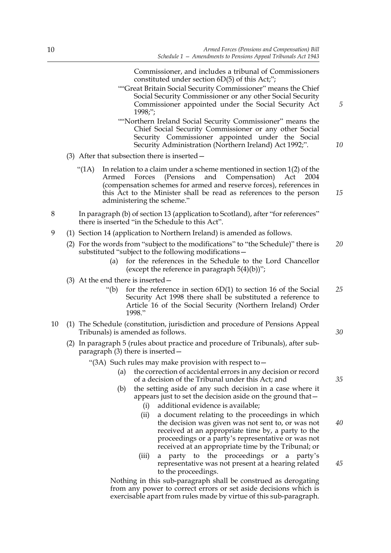Commissioner, and includes a tribunal of Commissioners constituted under section 6D(5) of this Act;";

- ""Great Britain Social Security Commissioner" means the Chief Social Security Commissioner or any other Social Security Commissioner appointed under the Social Security Act 1998;";
- ""Northern Ireland Social Security Commissioner" means the Chief Social Security Commissioner or any other Social Security Commissioner appointed under the Social Security Administration (Northern Ireland) Act 1992;".
- (3) After that subsection there is inserted—
	- "(1A) In relation to a claim under a scheme mentioned in section  $1(2)$  of the Armed Forces (Pensions and Compensation) Act 2004 (compensation schemes for armed and reserve forces), references in this Act to the Minister shall be read as references to the person administering the scheme." *15*
- 8 In paragraph (b) of section 13 (application to Scotland), after "for references" there is inserted "in the Schedule to this Act".
- 9 (1) Section 14 (application to Northern Ireland) is amended as follows.
	- (2) For the words from "subject to the modifications" to "the Schedule)" there is substituted "subject to the following modifications— *20*
		- (a) for the references in the Schedule to the Lord Chancellor (except the reference in paragraph  $5(4)(b)$ )";
	- (3) At the end there is inserted—
		- "(b) for the reference in section  $6D(1)$  to section 16 of the Social Security Act 1998 there shall be substituted a reference to Article 16 of the Social Security (Northern Ireland) Order 1998." *25*
- 10 (1) The Schedule (constitution, jurisdiction and procedure of Pensions Appeal Tribunals) is amended as follows.
	- (2) In paragraph 5 (rules about practice and procedure of Tribunals), after subparagraph (3) there is inserted—
		- "(3A) Such rules may make provision with respect to  $$ 
			- the correction of accidental errors in any decision or record of a decision of the Tribunal under this Act; and
			- (b) the setting aside of any such decision in a case where it appears just to set the decision aside on the ground that—
				- (i) additional evidence is available;
				- (ii) a document relating to the proceedings in which the decision was given was not sent to, or was not received at an appropriate time by, a party to the proceedings or a party's representative or was not received at an appropriate time by the Tribunal; or *40*
				- (iii) a party to the proceedings or a party's representative was not present at a hearing related to the proceedings.

Nothing in this sub-paragraph shall be construed as derogating from any power to correct errors or set aside decisions which is exercisable apart from rules made by virtue of this sub-paragraph. *30*

*5*

*10*

*35*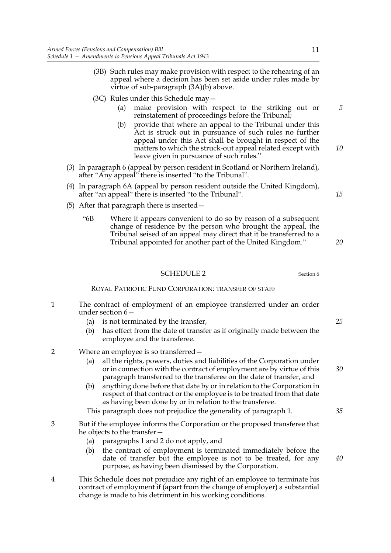- (3B) Such rules may make provision with respect to the rehearing of an appeal where a decision has been set aside under rules made by virtue of sub-paragraph (3A)(b) above.
- (3C) Rules under this Schedule may—
	- (a) make provision with respect to the striking out or reinstatement of proceedings before the Tribunal;
	- (b) provide that where an appeal to the Tribunal under this Act is struck out in pursuance of such rules no further appeal under this Act shall be brought in respect of the matters to which the struck-out appeal related except with leave given in pursuance of such rules."
- (3) In paragraph 6 (appeal by person resident in Scotland or Northern Ireland), after "Any appeal" there is inserted "to the Tribunal".
- (4) In paragraph 6A (appeal by person resident outside the United Kingdom), after "an appeal" there is inserted "to the Tribunal".
- (5) After that paragraph there is inserted—
	- "6B Where it appears convenient to do so by reason of a subsequent change of residence by the person who brought the appeal, the Tribunal seised of an appeal may direct that it be transferred to a Tribunal appointed for another part of the United Kingdom."

#### SCHEDULE 2 Section 6

#### ROYAL PATRIOTIC FUND CORPORATION: TRANSFER OF STAFF

- 1 The contract of employment of an employee transferred under an order under section 6—
	- (a) is not terminated by the transfer,
	- (b) has effect from the date of transfer as if originally made between the employee and the transferee.
- 2 Where an employee is so transferred—
	- (a) all the rights, powers, duties and liabilities of the Corporation under or in connection with the contract of employment are by virtue of this paragraph transferred to the transferee on the date of transfer, and
	- (b) anything done before that date by or in relation to the Corporation in respect of that contract or the employee is to be treated from that date as having been done by or in relation to the transferee.

This paragraph does not prejudice the generality of paragraph 1.

- 3 But if the employee informs the Corporation or the proposed transferee that he objects to the transfer—
	- (a) paragraphs 1 and 2 do not apply, and
	- (b) the contract of employment is terminated immediately before the date of transfer but the employee is not to be treated, for any purpose, as having been dismissed by the Corporation.
- 4 This Schedule does not prejudice any right of an employee to terminate his contract of employment if (apart from the change of employer) a substantial change is made to his detriment in his working conditions.

*5*

*10*

*15*

*20*

*25*

*30*

*35*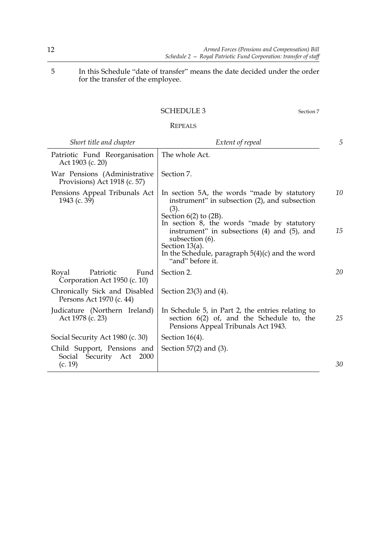5 In this Schedule "date of transfer" means the date decided under the order for the transfer of the employee.

#### SCHEDULE 3 Section 7

### REPEALS

| Short title and chapter                                                         | Extent of repeal                                                                                                                                                                  | 5  |
|---------------------------------------------------------------------------------|-----------------------------------------------------------------------------------------------------------------------------------------------------------------------------------|----|
| Patriotic Fund Reorganisation<br>Act 1903 (c. 20)                               | The whole Act.                                                                                                                                                                    |    |
| War Pensions (Administrative<br>Provisions) Act 1918 (c. 57)                    | Section 7.                                                                                                                                                                        |    |
| Pensions Appeal Tribunals Act<br>1943 (c. 39)                                   | In section 5A, the words "made by statutory"<br>instrument" in subsection (2), and subsection<br>(3).<br>Section $6(2)$ to $(2B)$ .<br>In section 8, the words "made by statutory | 10 |
|                                                                                 | instrument" in subsections (4) and (5), and<br>subsection (6).<br>Section 13(a).<br>In the Schedule, paragraph $5(4)(c)$ and the word<br>"and" before it.                         | 15 |
| Royal<br>Patriotic<br>Fund<br>Corporation Act 1950 (c. 10)                      | Section 2.                                                                                                                                                                        | 20 |
| Chronically Sick and Disabled<br>Persons Act 1970 (c. 44)                       | Section 23(3) and (4).                                                                                                                                                            |    |
| Judicature (Northern Ireland)<br>Act 1978 (c. 23)                               | In Schedule 5, in Part 2, the entries relating to<br>section $6(2)$ of, and the Schedule to, the<br>Pensions Appeal Tribunals Act 1943.                                           | 25 |
| Social Security Act 1980 (c. 30)                                                | Section $16(4)$ .                                                                                                                                                                 |    |
| Child Support, Pensions and<br>Security Act<br><b>2000</b><br>Social<br>(c. 19) | Section $57(2)$ and $(3)$ .                                                                                                                                                       | 30 |